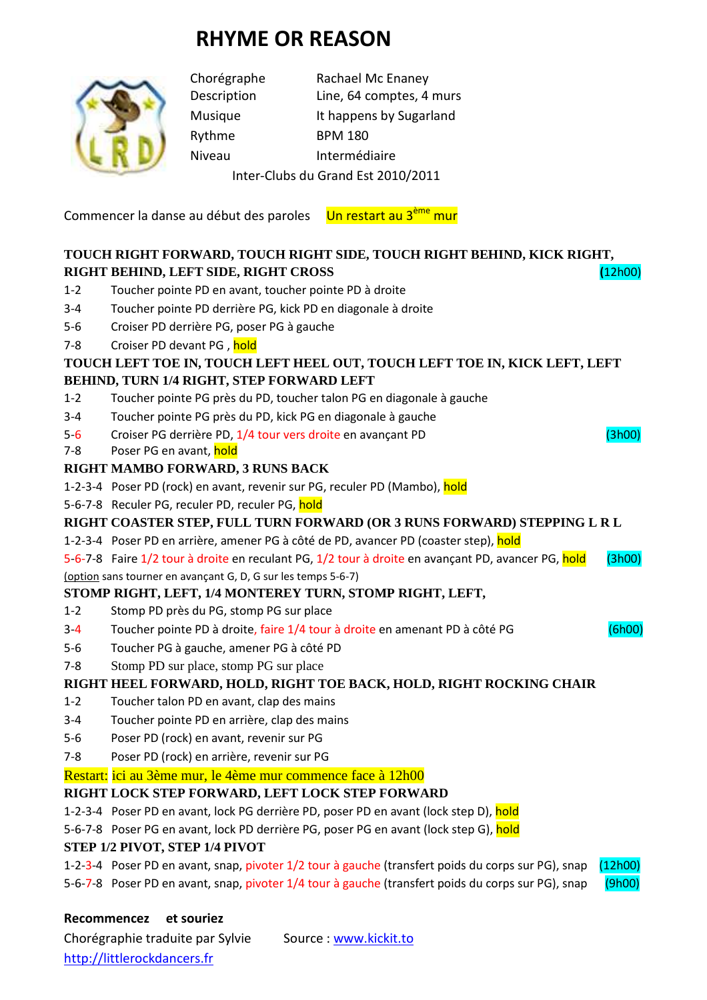# **RHYME OR REASON**



Rythme BPM 180

Chorégraphe Rachael Mc Enaney Description Line, 64 comptes, 4 murs Musique It happens by Sugarland Niveau Intermédiaire Inter-Clubs du Grand Est 2010/2011

Commencer la danse au début des paroles Un restart au 3<sup>ème</sup> mur

## **TOUCH RIGHT FORWARD, TOUCH RIGHT SIDE, TOUCH RIGHT BEHIND, KICK RIGHT, RIGHT BEHIND, LEFT SIDE, RIGHT CROSS (**12h00)

- 1-2 Toucher pointe PD en avant, toucher pointe PD à droite
- 3-4 Toucher pointe PD derrière PG, kick PD en diagonale à droite
- 5-6 Croiser PD derrière PG, poser PG à gauche
- 7-8 Croiser PD devant PG, hold

#### **TOUCH LEFT TOE IN, TOUCH LEFT HEEL OUT, TOUCH LEFT TOE IN, KICK LEFT, LEFT BEHIND, TURN 1/4 RIGHT, STEP FORWARD LEFT**

- 1-2 Toucher pointe PG près du PD, toucher talon PG en diagonale à gauche
- 3-4 Toucher pointe PG près du PD, kick PG en diagonale à gauche
- 5-6 Croiser PG derrière PD, 1/4 tour vers droite en avançant PD (3h00)
- 7-8 Poser PG en avant, hold

### **RIGHT MAMBO FORWARD, 3 RUNS BACK**

- 1-2-3-4 Poser PD (rock) en avant, revenir sur PG, reculer PD (Mambo), hold
- 5-6-7-8 Reculer PG, reculer PD, reculer PG, hold

#### **RIGHT COASTER STEP, FULL TURN FORWARD (OR 3 RUNS FORWARD) STEPPING L R L**

- 1-2-3-4 Poser PD en arrière, amener PG à côté de PD, avancer PD (coaster step), hold
- 5-6-7-8 Faire 1/2 tour à droite en reculant PG, 1/2 tour à droite en avançant PD, avancer PG, hold (3h00)

(option sans tourner en avançant G, D, G sur les temps 5-6-7)

## **STOMP RIGHT, LEFT, 1/4 MONTEREY TURN, STOMP RIGHT, LEFT,**

- 1-2 Stomp PD près du PG, stomp PG sur place
- 3-4 Toucher pointe PD à droite, faire 1/4 tour à droite en amenant PD à côté PG (6h00)
- 5-6 Toucher PG à gauche, amener PG à côté PD
- 7-8 Stomp PD sur place, stomp PG sur place

## **RIGHT HEEL FORWARD, HOLD, RIGHT TOE BACK, HOLD, RIGHT ROCKING CHAIR**

- 1-2 Toucher talon PD en avant, clap des mains
- 3-4 Toucher pointe PD en arrière, clap des mains
- 5-6 Poser PD (rock) en avant, revenir sur PG
- 7-8 Poser PD (rock) en arrière, revenir sur PG

Restart: ici au 3ème mur, le 4ème mur commence face à 12h00

## **RIGHT LOCK STEP FORWARD, LEFT LOCK STEP FORWARD**

- 1-2-3-4 Poser PD en avant, lock PG derrière PD, poser PD en avant (lock step D), hold
- 5-6-7-8 Poser PG en avant, lock PD derrière PG, poser PG en avant (lock step G), hold

#### **STEP 1/2 PIVOT, STEP 1/4 PIVOT**

1-2-3-4 Poser PD en avant, snap, pivoter 1/2 tour à gauche (transfert poids du corps sur PG), snap (12h00)

5-6-7-8 Poser PD en avant, snap, pivoter 1/4 tour à gauche (transfert poids du corps sur PG), snap (9h00)

#### **Recommencez et souriez**

Chorégraphie traduite par Sylvie Source : www.kickit.to http://littlerockdancers.fr